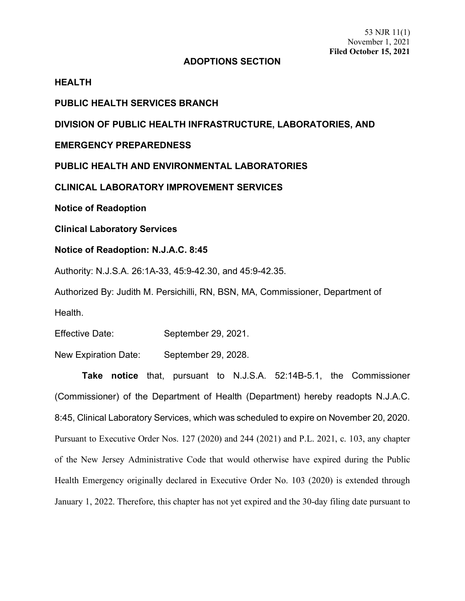## **ADOPTIONS SECTION**

## **HEALTH**

**PUBLIC HEALTH SERVICES BRANCH**

**DIVISION OF PUBLIC HEALTH INFRASTRUCTURE, LABORATORIES, AND** 

**EMERGENCY PREPAREDNESS**

**PUBLIC HEALTH AND ENVIRONMENTAL LABORATORIES**

**CLINICAL LABORATORY IMPROVEMENT SERVICES**

**Notice of Readoption**

**Clinical Laboratory Services**

**Notice of Readoption: N.J.A.C. 8:45**

Authority: N.J.S.A. 26:1A-33, 45:9-42.30, and 45:9-42.35.

Authorized By: Judith M. Persichilli, RN, BSN, MA, Commissioner, Department of Health.

Effective Date: September 29, 2021.

New Expiration Date: September 29, 2028.

**Take notice** that, pursuant to N.J.S.A. 52:14B-5.1, the Commissioner (Commissioner) of the Department of Health (Department) hereby readopts N.J.A.C. 8:45, Clinical Laboratory Services, which was scheduled to expire on November 20, 2020. Pursuant to Executive Order Nos. 127 (2020) and 244 (2021) and P.L. 2021, c. 103, any chapter of the New Jersey Administrative Code that would otherwise have expired during the Public Health Emergency originally declared in Executive Order No. 103 (2020) is extended through January 1, 2022. Therefore, this chapter has not yet expired and the 30-day filing date pursuant to